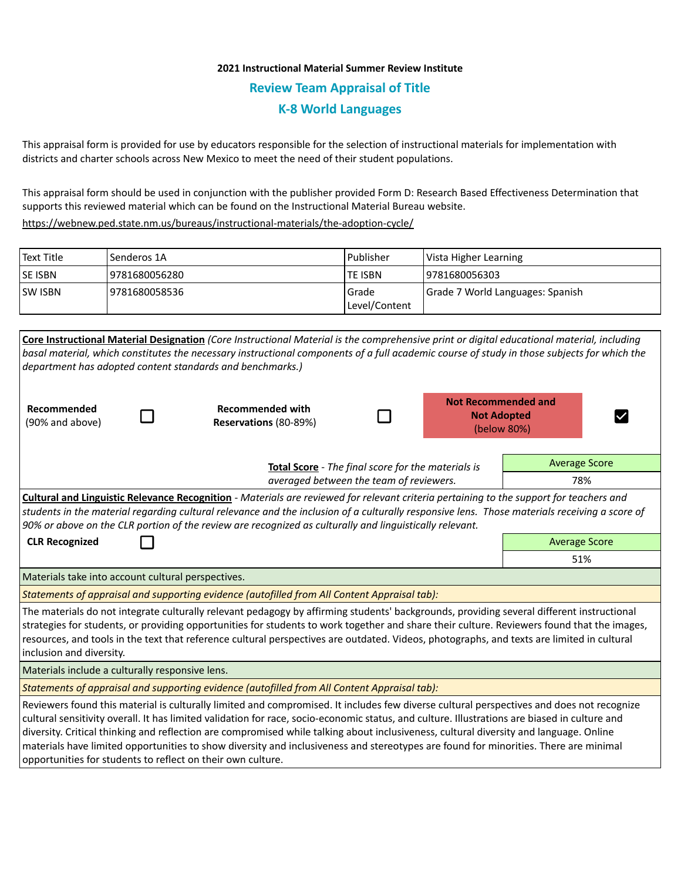## **2021 Instructional Material Summer Review Institute Review Team Appraisal of Title K-8 World Languages**

This appraisal form is provided for use by educators responsible for the selection of instructional materials for implementation with districts and charter schools across New Mexico to meet the need of their student populations.

This appraisal form should be used in conjunction with the publisher provided Form D: Research Based Effectiveness Determination that supports this reviewed material which can be found on the Instructional Material Bureau website.

<https://webnew.ped.state.nm.us/bureaus/instructional-materials/the-adoption-cycle/>

| Text Title     | Senderos 1A    | l Publisher               | Vista Higher Learning            |
|----------------|----------------|---------------------------|----------------------------------|
| <b>SE ISBN</b> | 9781680056280  | lte ISBN                  | 9781680056303                    |
| <b>SW ISBN</b> | 19781680058536 | l Grade<br> Level/Content | Grade 7 World Languages: Spanish |

|                                                                                                                                                                                                                                                                                                                                                                                                                                                                                                                                                                                                                                             |                                                    | Core Instructional Material Designation (Core Instructional Material is the comprehensive print or digital educational material, including  |  |  |                                                                 |                      |  |  |  |
|---------------------------------------------------------------------------------------------------------------------------------------------------------------------------------------------------------------------------------------------------------------------------------------------------------------------------------------------------------------------------------------------------------------------------------------------------------------------------------------------------------------------------------------------------------------------------------------------------------------------------------------------|----------------------------------------------------|---------------------------------------------------------------------------------------------------------------------------------------------|--|--|-----------------------------------------------------------------|----------------------|--|--|--|
|                                                                                                                                                                                                                                                                                                                                                                                                                                                                                                                                                                                                                                             |                                                    | basal material, which constitutes the necessary instructional components of a full academic course of study in those subjects for which the |  |  |                                                                 |                      |  |  |  |
|                                                                                                                                                                                                                                                                                                                                                                                                                                                                                                                                                                                                                                             |                                                    | department has adopted content standards and benchmarks.)                                                                                   |  |  |                                                                 |                      |  |  |  |
| Recommended<br>(90% and above)                                                                                                                                                                                                                                                                                                                                                                                                                                                                                                                                                                                                              |                                                    | <b>Recommended with</b><br>Reservations (80-89%)                                                                                            |  |  | <b>Not Recommended and</b><br><b>Not Adopted</b><br>(below 80%) |                      |  |  |  |
|                                                                                                                                                                                                                                                                                                                                                                                                                                                                                                                                                                                                                                             | Total Score - The final score for the materials is | <b>Average Score</b>                                                                                                                        |  |  |                                                                 |                      |  |  |  |
|                                                                                                                                                                                                                                                                                                                                                                                                                                                                                                                                                                                                                                             | averaged between the team of reviewers.            | 78%                                                                                                                                         |  |  |                                                                 |                      |  |  |  |
| Cultural and Linguistic Relevance Recognition - Materials are reviewed for relevant criteria pertaining to the support for teachers and<br>students in the material regarding cultural relevance and the inclusion of a culturally responsive lens. Those materials receiving a score of<br>90% or above on the CLR portion of the review are recognized as culturally and linguistically relevant.                                                                                                                                                                                                                                         |                                                    |                                                                                                                                             |  |  |                                                                 |                      |  |  |  |
| <b>CLR Recognized</b>                                                                                                                                                                                                                                                                                                                                                                                                                                                                                                                                                                                                                       |                                                    |                                                                                                                                             |  |  |                                                                 | <b>Average Score</b> |  |  |  |
|                                                                                                                                                                                                                                                                                                                                                                                                                                                                                                                                                                                                                                             |                                                    | 51%                                                                                                                                         |  |  |                                                                 |                      |  |  |  |
| Materials take into account cultural perspectives.                                                                                                                                                                                                                                                                                                                                                                                                                                                                                                                                                                                          |                                                    |                                                                                                                                             |  |  |                                                                 |                      |  |  |  |
| Statements of appraisal and supporting evidence (autofilled from All Content Appraisal tab):                                                                                                                                                                                                                                                                                                                                                                                                                                                                                                                                                |                                                    |                                                                                                                                             |  |  |                                                                 |                      |  |  |  |
| The materials do not integrate culturally relevant pedagogy by affirming students' backgrounds, providing several different instructional<br>strategies for students, or providing opportunities for students to work together and share their culture. Reviewers found that the images,<br>resources, and tools in the text that reference cultural perspectives are outdated. Videos, photographs, and texts are limited in cultural<br>inclusion and diversity.                                                                                                                                                                          |                                                    |                                                                                                                                             |  |  |                                                                 |                      |  |  |  |
| Materials include a culturally responsive lens.                                                                                                                                                                                                                                                                                                                                                                                                                                                                                                                                                                                             |                                                    |                                                                                                                                             |  |  |                                                                 |                      |  |  |  |
| Statements of appraisal and supporting evidence (autofilled from All Content Appraisal tab):                                                                                                                                                                                                                                                                                                                                                                                                                                                                                                                                                |                                                    |                                                                                                                                             |  |  |                                                                 |                      |  |  |  |
| Reviewers found this material is culturally limited and compromised. It includes few diverse cultural perspectives and does not recognize<br>cultural sensitivity overall. It has limited validation for race, socio-economic status, and culture. Illustrations are biased in culture and<br>diversity. Critical thinking and reflection are compromised while talking about inclusiveness, cultural diversity and language. Online<br>materials have limited opportunities to show diversity and inclusiveness and stereotypes are found for minorities. There are minimal<br>opportunities for students to reflect on their own culture. |                                                    |                                                                                                                                             |  |  |                                                                 |                      |  |  |  |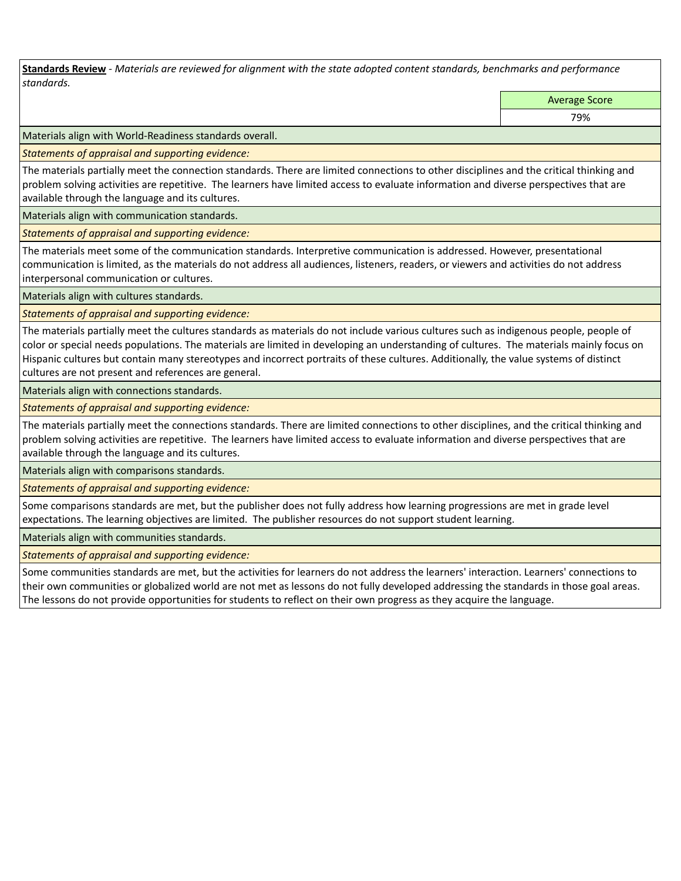**Standards Review** *- Materials are reviewed for alignment with the state adopted content standards, benchmarks and performance standards.*

Average Score

79%

Materials align with World-Readiness standards overall.

*Statements of appraisal and supporting evidence:* 

The materials partially meet the connection standards. There are limited connections to other disciplines and the critical thinking and problem solving activities are repetitive. The learners have limited access to evaluate information and diverse perspectives that are available through the language and its cultures.

Materials align with communication standards.

*Statements of appraisal and supporting evidence:* 

The materials meet some of the communication standards. Interpretive communication is addressed. However, presentational communication is limited, as the materials do not address all audiences, listeners, readers, or viewers and activities do not address interpersonal communication or cultures.

Materials align with cultures standards.

*Statements of appraisal and supporting evidence:* 

The materials partially meet the cultures standards as materials do not include various cultures such as indigenous people, people of color or special needs populations. The materials are limited in developing an understanding of cultures. The materials mainly focus on Hispanic cultures but contain many stereotypes and incorrect portraits of these cultures. Additionally, the value systems of distinct cultures are not present and references are general.

Materials align with connections standards.

*Statements of appraisal and supporting evidence:* 

The materials partially meet the connections standards. There are limited connections to other disciplines, and the critical thinking and problem solving activities are repetitive. The learners have limited access to evaluate information and diverse perspectives that are available through the language and its cultures.

Materials align with comparisons standards.

*Statements of appraisal and supporting evidence:* 

Some comparisons standards are met, but the publisher does not fully address how learning progressions are met in grade level expectations. The learning objectives are limited. The publisher resources do not support student learning.

Materials align with communities standards.

*Statements of appraisal and supporting evidence:* 

Some communities standards are met, but the activities for learners do not address the learners' interaction. Learners' connections to their own communities or globalized world are not met as lessons do not fully developed addressing the standards in those goal areas. The lessons do not provide opportunities for students to reflect on their own progress as they acquire the language.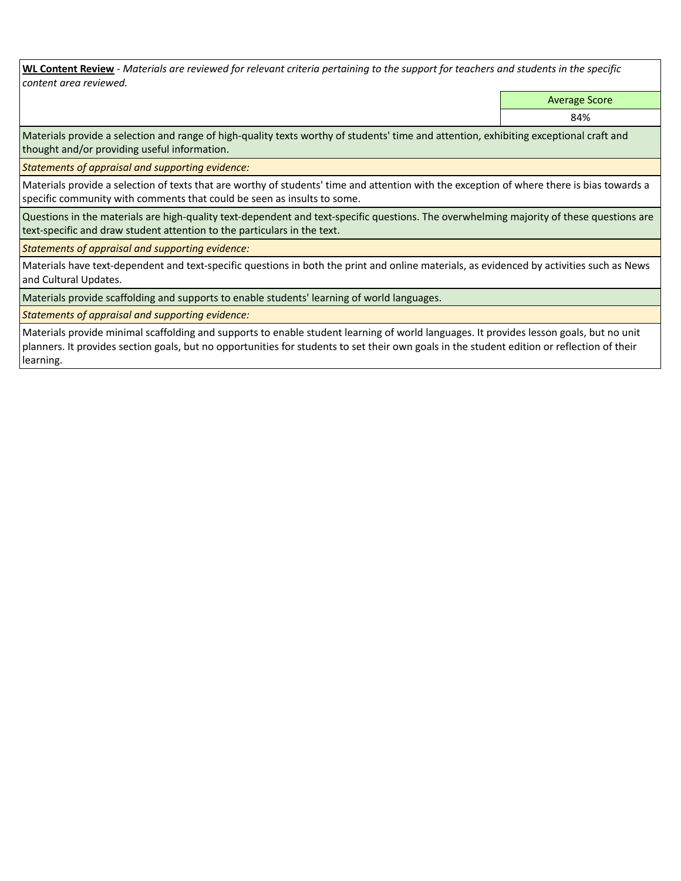**WL Content Review** *- Materials are reviewed for relevant criteria pertaining to the support for teachers and students in the specific content area reviewed.*

Average Score

84%

Materials provide a selection and range of high-quality texts worthy of students' time and attention, exhibiting exceptional craft and thought and/or providing useful information.

*Statements of appraisal and supporting evidence:* 

Materials provide a selection of texts that are worthy of students' time and attention with the exception of where there is bias towards a specific community with comments that could be seen as insults to some.

Questions in the materials are high-quality text-dependent and text-specific questions. The overwhelming majority of these questions are text-specific and draw student attention to the particulars in the text.

*Statements of appraisal and supporting evidence:* 

Materials have text-dependent and text-specific questions in both the print and online materials, as evidenced by activities such as News and Cultural Updates.

Materials provide scaffolding and supports to enable students' learning of world languages.

*Statements of appraisal and supporting evidence:* 

Materials provide minimal scaffolding and supports to enable student learning of world languages. It provides lesson goals, but no unit planners. It provides section goals, but no opportunities for students to set their own goals in the student edition or reflection of their learning.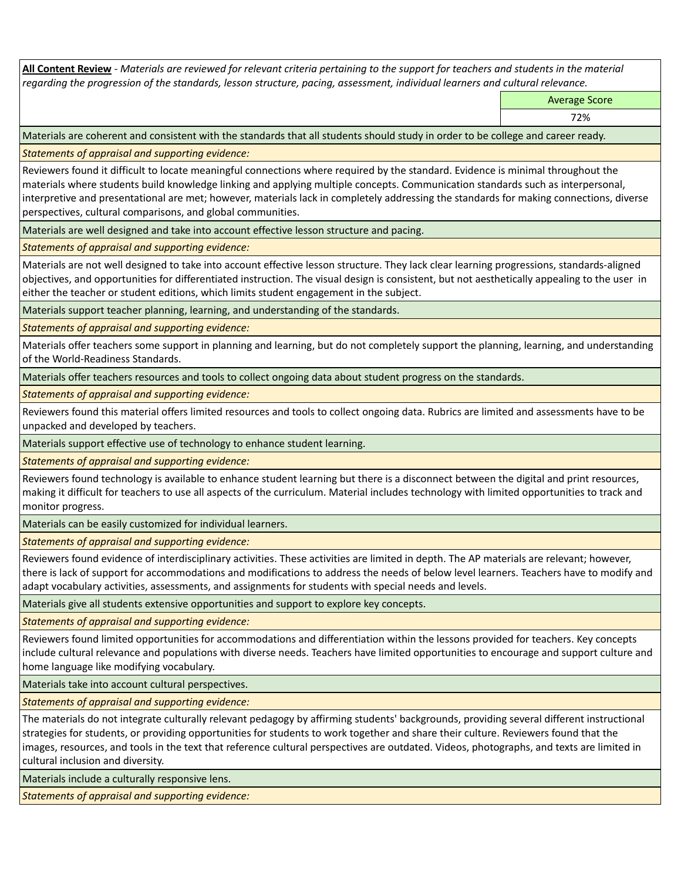**All Content Review** *- Materials are reviewed for relevant criteria pertaining to the support for teachers and students in the material regarding the progression of the standards, lesson structure, pacing, assessment, individual learners and cultural relevance.*

Average Score

72%

Materials are coherent and consistent with the standards that all students should study in order to be college and career ready.

*Statements of appraisal and supporting evidence:*

Reviewers found it difficult to locate meaningful connections where required by the standard. Evidence is minimal throughout the materials where students build knowledge linking and applying multiple concepts. Communication standards such as interpersonal, interpretive and presentational are met; however, materials lack in completely addressing the standards for making connections, diverse perspectives, cultural comparisons, and global communities.

Materials are well designed and take into account effective lesson structure and pacing.

*Statements of appraisal and supporting evidence:*

Materials are not well designed to take into account effective lesson structure. They lack clear learning progressions, standards-aligned objectives, and opportunities for differentiated instruction. The visual design is consistent, but not aesthetically appealing to the user in either the teacher or student editions, which limits student engagement in the subject.

Materials support teacher planning, learning, and understanding of the standards.

*Statements of appraisal and supporting evidence:*

Materials offer teachers some support in planning and learning, but do not completely support the planning, learning, and understanding of the World-Readiness Standards.

Materials offer teachers resources and tools to collect ongoing data about student progress on the standards.

*Statements of appraisal and supporting evidence:*

Reviewers found this material offers limited resources and tools to collect ongoing data. Rubrics are limited and assessments have to be unpacked and developed by teachers.

Materials support effective use of technology to enhance student learning.

*Statements of appraisal and supporting evidence:*

Reviewers found technology is available to enhance student learning but there is a disconnect between the digital and print resources, making it difficult for teachers to use all aspects of the curriculum. Material includes technology with limited opportunities to track and monitor progress.

Materials can be easily customized for individual learners.

*Statements of appraisal and supporting evidence:* 

Reviewers found evidence of interdisciplinary activities. These activities are limited in depth. The AP materials are relevant; however, there is lack of support for accommodations and modifications to address the needs of below level learners. Teachers have to modify and adapt vocabulary activities, assessments, and assignments for students with special needs and levels.

Materials give all students extensive opportunities and support to explore key concepts.

*Statements of appraisal and supporting evidence:*

Reviewers found limited opportunities for accommodations and differentiation within the lessons provided for teachers. Key concepts include cultural relevance and populations with diverse needs. Teachers have limited opportunities to encourage and support culture and home language like modifying vocabulary.

Materials take into account cultural perspectives.

*Statements of appraisal and supporting evidence:*

The materials do not integrate culturally relevant pedagogy by affirming students' backgrounds, providing several different instructional strategies for students, or providing opportunities for students to work together and share their culture. Reviewers found that the images, resources, and tools in the text that reference cultural perspectives are outdated. Videos, photographs, and texts are limited in cultural inclusion and diversity.

Materials include a culturally responsive lens.

*Statements of appraisal and supporting evidence:*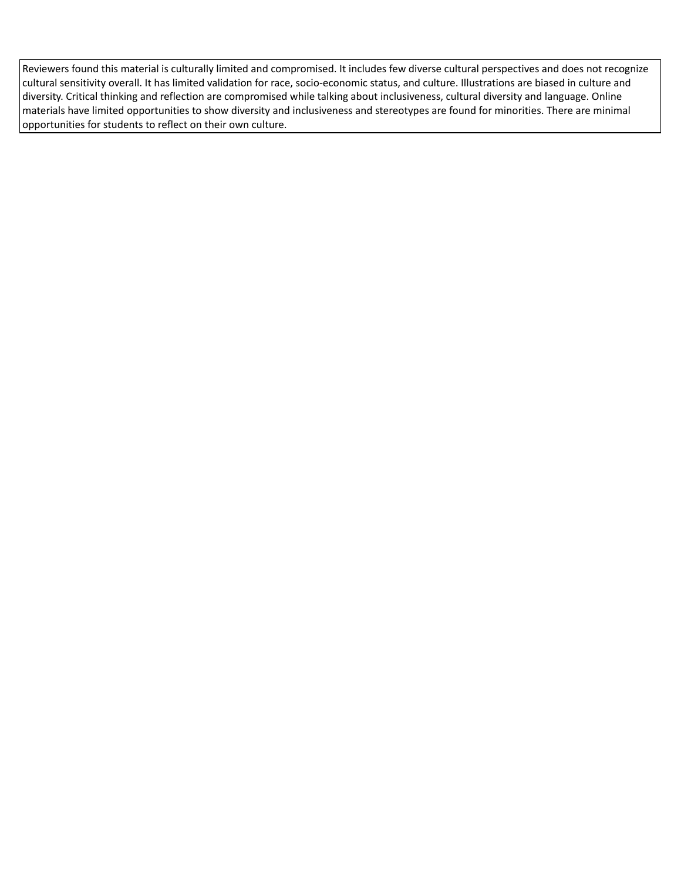Reviewers found this material is culturally limited and compromised. It includes few diverse cultural perspectives and does not recognize cultural sensitivity overall. It has limited validation for race, socio-economic status, and culture. Illustrations are biased in culture and diversity. Critical thinking and reflection are compromised while talking about inclusiveness, cultural diversity and language. Online materials have limited opportunities to show diversity and inclusiveness and stereotypes are found for minorities. There are minimal opportunities for students to reflect on their own culture.